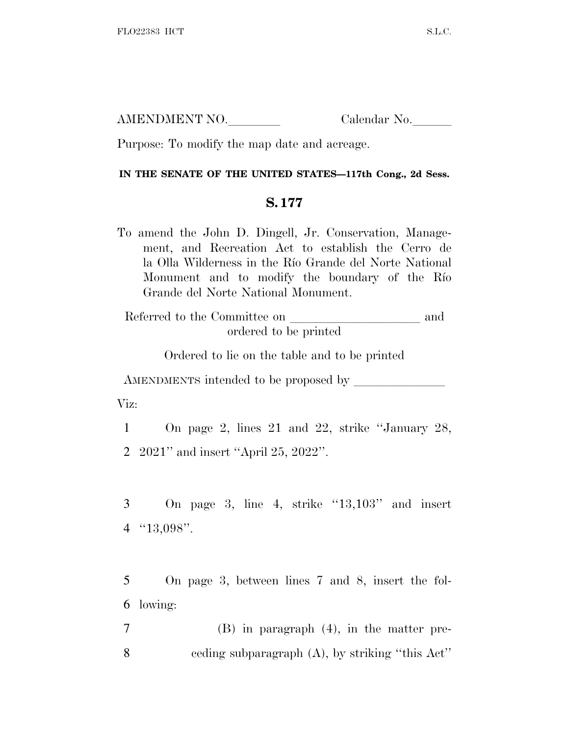AMENDMENT NO. Calendar No.

Purpose: To modify the map date and acreage.

## **IN THE SENATE OF THE UNITED STATES—117th Cong., 2d Sess.**

## **S. 177**

To amend the John D. Dingell, Jr. Conservation, Management, and Recreation Act to establish the Cerro de la Olla Wilderness in the Río Grande del Norte National Monument and to modify the boundary of the Río Grande del Norte National Monument.

Referred to the Committee on  $\_\_$ ordered to be printed

Ordered to lie on the table and to be printed

AMENDMENTS intended to be proposed by <u>leader</u> Viz:

1 On page 2, lines 21 and 22, strike ''January 28, 2 2021'' and insert ''April 25, 2022''.

 $3$  On page 3, line 4, strike " $13,103$ " and insert 4 ''13,098''.

5 On page 3, between lines 7 and 8, insert the fol-6 lowing:

7 (B) in paragraph (4), in the matter pre-8 ceding subparagraph (A), by striking ''this Act''